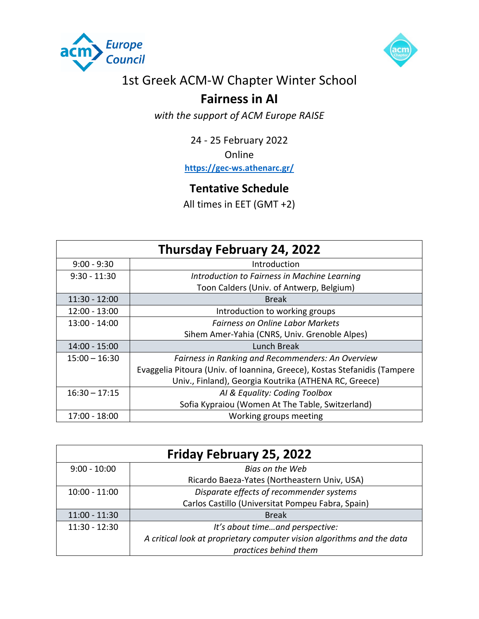



## 1st Greek ACM-W Chapter Winter School

## **Fairness in AI**

*with the support of ACM Europe RAISE*

24 - 25 February 2022

Online

**https://gec-ws.athenarc.gr/**

## **Tentative Schedule**

All times in EET (GMT +2)

| <b>Thursday February 24, 2022</b> |                                                                           |
|-----------------------------------|---------------------------------------------------------------------------|
| $9:00 - 9:30$                     | Introduction                                                              |
| $9:30 - 11:30$                    | Introduction to Fairness in Machine Learning                              |
|                                   | Toon Calders (Univ. of Antwerp, Belgium)                                  |
| $11:30 - 12:00$                   | <b>Break</b>                                                              |
| $12:00 - 13:00$                   | Introduction to working groups                                            |
| $13:00 - 14:00$                   | <b>Fairness on Online Labor Markets</b>                                   |
|                                   | Sihem Amer-Yahia (CNRS, Univ. Grenoble Alpes)                             |
| 14:00 - 15:00                     | Lunch Break                                                               |
| $15:00 - 16:30$                   | Fairness in Ranking and Recommenders: An Overview                         |
|                                   | Evaggelia Pitoura (Univ. of Ioannina, Greece), Kostas Stefanidis (Tampere |
|                                   | Univ., Finland), Georgia Koutrika (ATHENA RC, Greece)                     |
| $16:30 - 17:15$                   | AI & Equality: Coding Toolbox                                             |
|                                   | Sofia Kypraiou (Women At The Table, Switzerland)                          |
| 17:00 - 18:00                     | Working groups meeting                                                    |

| <b>Friday February 25, 2022</b> |                                                                        |  |
|---------------------------------|------------------------------------------------------------------------|--|
| $9:00 - 10:00$                  | Bias on the Web                                                        |  |
|                                 | Ricardo Baeza-Yates (Northeastern Univ, USA)                           |  |
| $10:00 - 11:00$                 | Disparate effects of recommender systems                               |  |
|                                 | Carlos Castillo (Universitat Pompeu Fabra, Spain)                      |  |
| $11:00 - 11:30$                 | <b>Break</b>                                                           |  |
| $11:30 - 12:30$                 | It's about timeand perspective:                                        |  |
|                                 | A critical look at proprietary computer vision algorithms and the data |  |
|                                 | practices behind them                                                  |  |